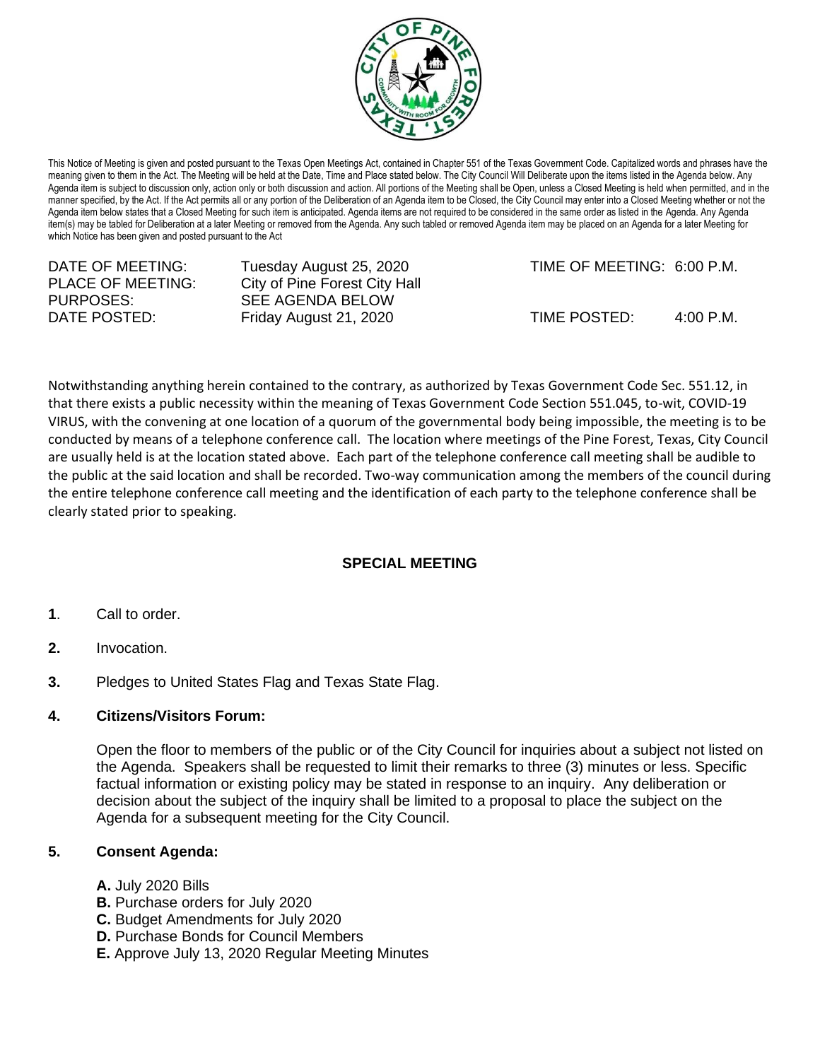

This Notice of Meeting is given and posted pursuant to the Texas Open Meetings Act, contained in Chapter 551 of the Texas Government Code. Capitalized words and phrases have the meaning given to them in the Act. The Meeting will be held at the Date, Time and Place stated below. The City Council Will Deliberate upon the items listed in the Agenda below. Any Agenda item is subject to discussion only, action only or both discussion and action. All portions of the Meeting shall be Open, unless a Closed Meeting is held when permitted, and in the manner specified, by the Act. If the Act permits all or any portion of the Deliberation of an Agenda item to be Closed, the City Council may enter into a Closed Meeting whether or not the Agenda item below states that a Closed Meeting for such item is anticipated. Agenda items are not required to be considered in the same order as listed in the Agenda. Any Agenda item(s) may be tabled for Deliberation at a later Meeting or removed from the Agenda. Any such tabled or removed Agenda item may be placed on an Agenda for a later Meeting for which Notice has been given and posted pursuant to the Act

| DATE OF MEETING:<br>PLACE OF MEETING: | Tuesday August 25, 2020<br>City of Pine Forest City Hall | TIME OF MEETING: 6:00 P.M. |                     |
|---------------------------------------|----------------------------------------------------------|----------------------------|---------------------|
| PURPOSES:                             | SEE AGENDA BELOW                                         |                            |                     |
| DATE POSTED:                          | Friday August 21, 2020                                   | TIME POSTED:               | $4:00 \text{ P.M.}$ |

Notwithstanding anything herein contained to the contrary, as authorized by Texas Government Code Sec. 551.12, in that there exists a public necessity within the meaning of Texas Government Code Section 551.045, to-wit, COVID-19 VIRUS, with the convening at one location of a quorum of the governmental body being impossible, the meeting is to be conducted by means of a telephone conference call. The location where meetings of the Pine Forest, Texas, City Council are usually held is at the location stated above. Each part of the telephone conference call meeting shall be audible to the public at the said location and shall be recorded. Two-way communication among the members of the council during the entire telephone conference call meeting and the identification of each party to the telephone conference shall be clearly stated prior to speaking.

# **SPECIAL MEETING**

- **1**. Call to order.
- **2.** Invocation.
- **3.** Pledges to United States Flag and Texas State Flag.

# **4. Citizens/Visitors Forum:**

Open the floor to members of the public or of the City Council for inquiries about a subject not listed on the Agenda. Speakers shall be requested to limit their remarks to three (3) minutes or less. Specific factual information or existing policy may be stated in response to an inquiry. Any deliberation or decision about the subject of the inquiry shall be limited to a proposal to place the subject on the Agenda for a subsequent meeting for the City Council.

# **5. Consent Agenda:**

- **A.** July 2020 Bills
- **B.** Purchase orders for July 2020
- **C.** Budget Amendments for July 2020
- **D.** Purchase Bonds for Council Members
- **E.** Approve July 13, 2020 Regular Meeting Minutes